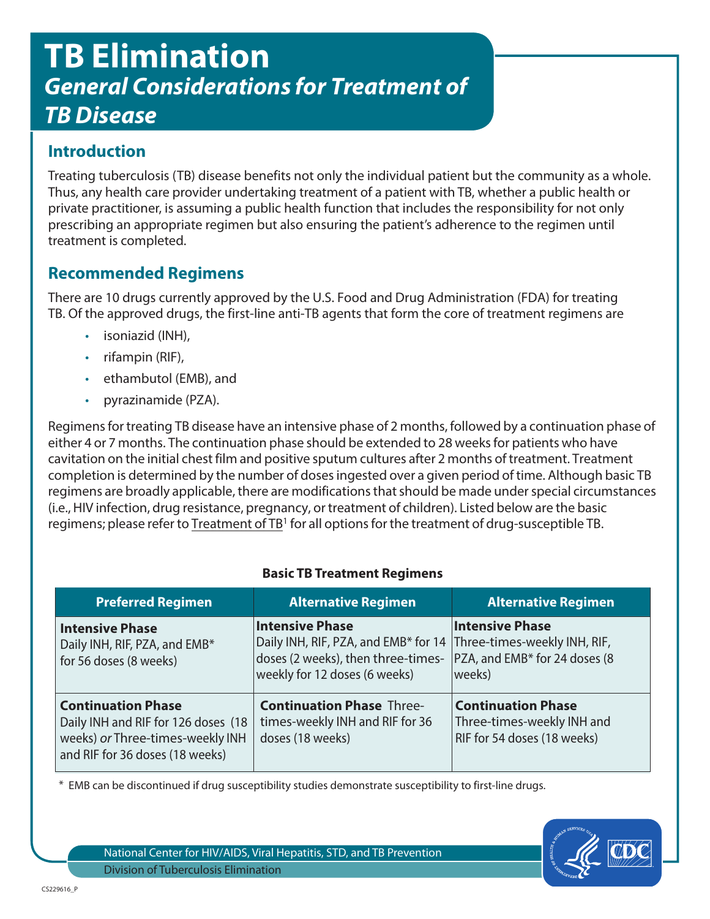# **TB Elimination General Considerations for Treatment of TB Disease**

## **Introduction**

Treating tuberculosis (TB) disease benefits not only the individual patient but the community as a whole. Thus, any health care provider undertaking treatment of a patient with TB, whether a public health or private practitioner, is assuming a public health function that includes the responsibility for not only prescribing an appropriate regimen but also ensuring the patient's adherence to the regimen until treatment is completed.

### **Recommended Regimens**

There are 10 drugs currently approved by the U.S. Food and Drug Administration (FDA) for treating TB. Of the approved drugs, the first-line anti-TB agents that form the core of treatment regimens are

- isoniazid (INH),
- rifampin (RIF),
- ethambutol (EMB), and
- pyrazinamide (PZA).

Regimens for treating TB disease have an intensive phase of 2 months, followed by a continuation phase of either 4 or 7 months. The continuation phase should be extended to 28 weeks for patients who have cavitation on the initial chest film and positive sputum cultures after 2 months of treatment. Treatment completion is determined by the number of doses ingested over a given period of time. Although basic TB regimens are broadly applicable, there are modifications that should be made under special circumstances (i.e., HIV infection, drug resistance, pregnancy, or treatment of children). Listed below are the basic regimens; please refer to Treatment of TB<sup>1</sup> for all opt[ions for the treat](http://www.cdc.gov/mmwr/PDF/rr/rr5211.pdf)ment of drug-susceptible TB.

#### **Basic TB Treatment Regimens**

| <b>Preferred Regimen</b>                                                                                                                | <b>Alternative Regimen</b>                                                                                                            | <b>Alternative Regimen</b>                                                                         |
|-----------------------------------------------------------------------------------------------------------------------------------------|---------------------------------------------------------------------------------------------------------------------------------------|----------------------------------------------------------------------------------------------------|
| <b>Intensive Phase</b><br>Daily INH, RIF, PZA, and EMB*<br>for 56 doses (8 weeks)                                                       | <b>Intensive Phase</b><br>Daily INH, RIF, PZA, and EMB* for 14<br>doses (2 weeks), then three-times-<br>weekly for 12 doses (6 weeks) | <b>Intensive Phase</b><br>Three-times-weekly INH, RIF,<br>PZA, and EMB* for 24 doses (8)<br>weeks) |
| <b>Continuation Phase</b><br>Daily INH and RIF for 126 doses (18<br>weeks) or three-times-weekly INH<br>and RIF for 36 doses (18 weeks) | <b>Continuation Phase Three-</b><br>times-weekly INH and RIF for 36<br>doses (18 weeks)                                               | <b>Continuation Phase</b><br>Three-times-weekly INH and<br>RIF for 54 doses (18 weeks)             |

\* EMB can be discontinued if drug susceptibility studies demonstrate susceptibility to first-line drugs.